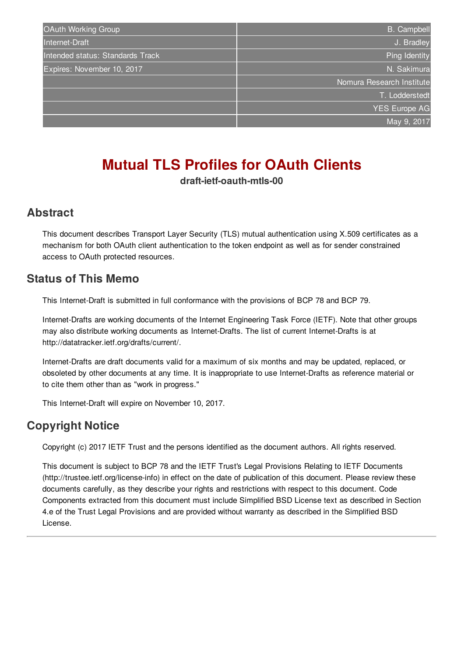| OAuth Working Group              | <b>B.</b> Campbell        |
|----------------------------------|---------------------------|
| Internet-Draft                   | J. Bradley                |
| Intended status: Standards Track | Ping Identity             |
| Expires: November 10, 2017       | N. Sakimura               |
|                                  | Nomura Research Institute |
|                                  | T. Lodderstedt            |
|                                  | <b>YES Europe AG</b>      |
|                                  | May 9, 2017               |
|                                  |                           |

# **Mutual TLS Profiles for OAuth Clients**

**draft-ietf-oauth-mtls-00**

#### <span id="page-0-0"></span>**[Abstract](#page-0-0)**

This document describes Transport Layer Security (TLS) mutual authentication using X.509 certificates as a mechanism for both OAuth client authentication to the token endpoint as well as for sender constrained access to OAuth protected resources.

#### <span id="page-0-1"></span>**[Status](#page-0-1) of This Memo**

This Internet-Draft is submitted in full conformance with the provisions of BCP 78 and BCP 79.

Internet-Drafts are working documents of the Internet Engineering Task Force (IETF). Note that other groups may also distribute working documents as Internet-Drafts. The list of current Internet-Drafts is at http://datatracker.ietf.org/drafts/current/.

Internet-Drafts are draft documents valid for a maximum of six months and may be updated, replaced, or obsoleted by other documents at any time. It is inappropriate to use Internet-Drafts as reference material or to cite them other than as "work in progress."

This Internet-Draft will expire on November 10, 2017.

## <span id="page-0-2"></span>**[Copyright](#page-0-2) Notice**

Copyright (c) 2017 IETF Trust and the persons identified as the document authors. All rights reserved.

This document is subject to BCP 78 and the IETF Trust's Legal Provisions Relating to IETF Documents (http://trustee.ietf.org/license-info) in effect on the date of publication of this document. Please review these documents carefully, as they describe your rights and restrictions with respect to this document. Code Components extracted from this document must include Simplified BSD License text as described in Section 4.e of the Trust Legal Provisions and are provided without warranty as described in the Simplified BSD License.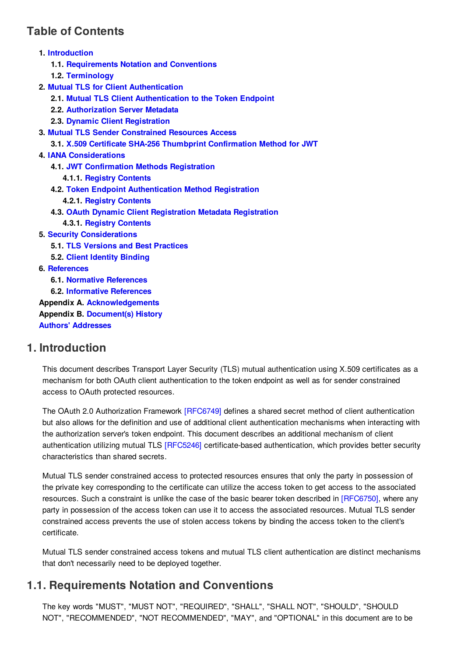## <span id="page-1-0"></span>**Table of [Contents](#page-1-0)**

| 1. Introduction                                                       |
|-----------------------------------------------------------------------|
| 1.1. Requirements Notation and Conventions                            |
| 1.2. Terminology                                                      |
| 2. Mutual TLS for Client Authentication                               |
| 2.1. Mutual TLS Client Authentication to the Token Endpoint           |
| 2.2. Authorization Server Metadata                                    |
| 2.3. Dynamic Client Registration                                      |
| <b>3. Mutual TLS Sender Constrained Resources Access</b>              |
| 3.1. X.509 Certificate SHA-256 Thumbprint Confirmation Method for JWT |
| <b>4. IANA Considerations</b>                                         |
| <b>4.1. JWT Confirmation Methods Registration</b>                     |
| <b>4.1.1 Registry Contents</b>                                        |
| 4.2. Token Endpoint Authentication Method Registration                |
| <b>4.2.1 Registry Contents</b>                                        |
| 4.3. OAuth Dynamic Client Registration Metadata Registration          |
| <b>4.3.1 Registry Contents</b>                                        |
| <b>5. Security Considerations</b>                                     |
| <b>5.1. TLS Versions and Best Practices</b>                           |
| <b>5.2. Client Identity Binding</b>                                   |
| 6. References                                                         |
| <b>6.1. Normative References</b>                                      |
| <b>6.2. Informative References</b>                                    |
| <b>Appendix A. Acknowledgements</b>                                   |
| <b>Appendix B. Document(s) History</b>                                |

<span id="page-1-3"></span>

**Authors' [Addresses](#page-6-1)**

### <span id="page-1-1"></span>**[1.](#page-1-1) [Introduction](#page-1-3)**

This document describes Transport Layer Security (TLS) mutual authentication using X.509 certificates as a mechanism for both OAuth client authentication to the token endpoint as well as for sender constrained access to OAuth protected resources.

The OAuth 2.0 Authorization Framework [\[RFC6749\]](#page-5-4) defines a shared secret method of client authentication but also allows for the definition and use of additional client authentication mechanisms when interacting with the authorization server's token endpoint. This document describes an additional mechanism of client authentication utilizing mutual TLS [\[RFC5246\]](#page-5-5) certificate-based authentication, which provides better security characteristics than shared secrets.

Mutual TLS sender constrained access to protected resources ensures that only the party in possession of the private key corresponding to the certificate can utilize the access token to get access to the associated resources. Such a constraint is unlike the case of the basic bearer token described in [\[RFC6750\]](#page-5-6), where any party in possession of the access token can use it to access the associated resources. Mutual TLS sender constrained access prevents the use of stolen access tokens by binding the access token to the client's certificate.

Mutual TLS sender constrained access tokens and mutual TLS client authentication are distinct mechanisms that don't necessarily need to be deployed together.

### <span id="page-1-4"></span><span id="page-1-2"></span>**[1.1.](#page-1-2) [Requirements](#page-1-4) Notation and Conventions**

The key words "MUST", "MUST NOT", "REQUIRED", "SHALL", "SHALL NOT", "SHOULD", "SHOULD NOT", "RECOMMENDED", "NOT RECOMMENDED", "MAY", and "OPTIONAL" in this document are to be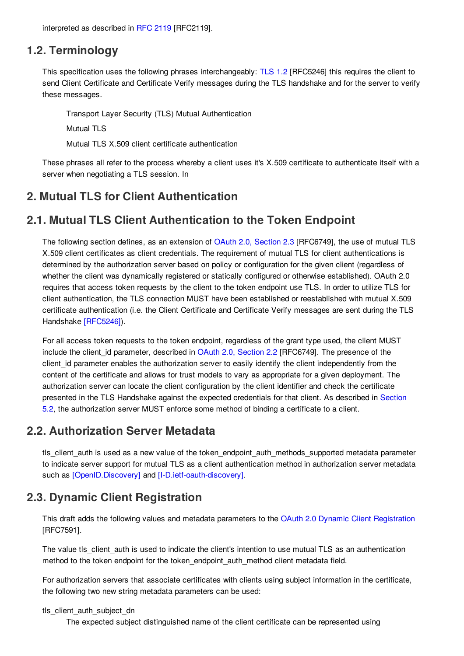<span id="page-2-5"></span>interpreted as described in [RFC](#page-5-7) 2119 [RFC2119].

#### <span id="page-2-0"></span>**[1.2.](#page-2-0) [Terminology](#page-2-5)**

This specification uses the following phrases interchangeably: [TLS](#page-5-5) 1.2 [RFC5246] this requires the client to send Client Certificate and Certificate Verify messages during the TLS handshake and for the server to verify these messages.

Transport Layer Security (TLS) Mutual Authentication

Mutual TLS

Mutual TLS X.509 client certificate authentication

These phrases all refer to the process whereby a client uses it's X.509 certificate to authenticate itself with a server when negotiating a TLS session. In

#### <span id="page-2-6"></span><span id="page-2-1"></span>**[2.](#page-2-1) Mutual TLS for Client [Authentication](#page-2-6)**

#### <span id="page-2-7"></span><span id="page-2-2"></span>**[2.1.](#page-2-2) Mutual TLS Client [Authentication](#page-2-7) to the Token Endpoint**

The following section defines, as an extension of OAuth 2.0, [Section](#page-5-4) 2.3 [RFC6749], the use of mutual TLS X.509 client certificates as client credentials. The requirement of mutual TLS for client authentications is determined by the authorization server based on policy or configuration for the given client (regardless of whether the client was dynamically registered or statically configured or otherwise established). OAuth 2.0 requires that access token requests by the client to the token endpoint use TLS. In order to utilize TLS for client authentication, the TLS connection MUST have been established or reestablished with mutual X.509 certificate authentication (i.e. the Client Certificate and Certificate Verify messages are sent during the TLS Handshake [\[RFC5246\]](#page-5-5)).

For all access token requests to the token endpoint, regardless of the grant type used, the client MUST include the client id parameter, described in OAuth 2.0, [Section](#page-5-4) 2.2 [RFC6749]. The presence of the client id parameter enables the authorization server to easily identify the client independently from the content of the certificate and allows for trust models to vary as appropriate for a given deployment. The authorization server can locate the client configuration by the client identifier and check the certificate presented in the TLS Handshake against the expected credentials for that client. As described in Section 5.2, the [authorization](#page-4-9) server MUST enforce some method of binding a certificate to a client.

#### <span id="page-2-8"></span><span id="page-2-3"></span>**[2.2.](#page-2-3) [Authorization](#page-2-8) Server Metadata**

tls client auth is used as a new value of the token endpoint auth methods supported metadata parameter to indicate server support for mutual TLS as a client authentication method in authorization server metadata such as [\[OpenID.Discovery\]](#page-5-8) and [\[I-D.ietf-oauth-discovery\]](#page-5-9).

### <span id="page-2-9"></span><span id="page-2-4"></span>**[2.3.](#page-2-4) Dynamic Client [Registration](#page-2-9)**

This draft adds the following values and metadata parameters to the OAuth 2.0 Dynamic Client [Registration](#page-5-10) [RFC7591].

The value tls client auth is used to indicate the client's intention to use mutual TLS as an authentication method to the token endpoint for the token endpoint auth method client metadata field.

For authorization servers that associate certificates with clients using subject information in the certificate, the following two new string metadata parameters can be used:

#### tls\_client\_auth\_subject\_dn

The expected subject distinguished name of the client certificate can be represented using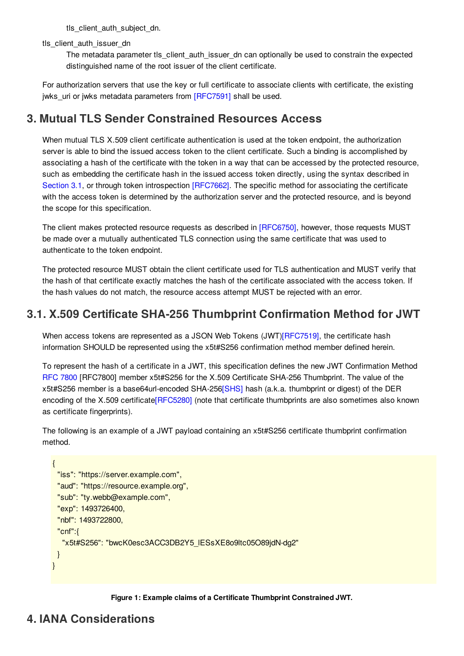tls\_client\_auth\_subject\_dn.

tls\_client\_auth\_issuer\_dn

The metadata parameter tls\_client\_auth\_issuer\_dn can optionally be used to constrain the expected distinguished name of the root issuer of the client certificate.

For authorization servers that use the key or full certificate to associate clients with certificate, the existing jwks\_uri or jwks metadata parameters from [\[RFC7591\]](#page-5-10) shall be used.

## <span id="page-3-3"></span><span id="page-3-0"></span>**[3.](#page-3-0) Mutual TLS Sender [Constrained](#page-3-3) Resources Access**

When mutual TLS X.509 client certificate authentication is used at the token endpoint, the authorization server is able to bind the issued access token to the client certificate. Such a binding is accomplished by associating a hash of the certificate with the token in a way that can be accessed by the protected resource, such as embedding the certificate hash in the issued access token directly, using the syntax described in [Section](#page-3-4) 3.1, or through token introspection [\[RFC7662\]](#page-5-11). The specific method for associating the certificate with the access token is determined by the authorization server and the protected resource, and is beyond the scope for this specification.

The client makes protected resource requests as described in [\[RFC6750\]](#page-5-6), however, those requests MUST be made over a mutually authenticated TLS connection using the same certificate that was used to authenticate to the token endpoint.

The protected resource MUST obtain the client certificate used for TLS authentication and MUST verify that the hash of that certificate exactly matches the hash of the certificate associated with the access token. If the hash values do not match, the resource access attempt MUST be rejected with an error.

## <span id="page-3-4"></span><span id="page-3-1"></span>**[3.1.](#page-3-1) X.509 Certificate SHA-256 Thumbprint [Confirmation](#page-3-4) Method for JWT**

When access tokens are represented as a JSON Web Tokens (JWT[\)\[RFC7519\]](#page-5-12), the certificate hash information SHOULD be represented using the x5t#S256 confirmation method member defined herein.

To represent the hash of a certificate in a JWT, this specification defines the new JWT Confirmation Method RFC [7800](#page-5-13) [RFC7800] member x5t#S256 for the X.509 Certificate SHA-256 Thumbprint. The value of the x5t#S256 member is a base64url-encoded SHA-256[\[SHS\]](#page-5-14) hash (a.k.a. thumbprint or digest) of the DER encoding of the X.509 certificate<sup>[RFC5280]</sup> (note that certificate thumbprints are also sometimes also known as certificate fingerprints).

The following is an example of a JWT payload containing an x5t#S256 certificate thumbprint confirmation method.

```
{
 "iss": "https://server.example.com",
 "aud": "https://resource.example.org",
 "sub": "ty.webb@example.com",
 "exp": 1493726400,
 "nbf": 1493722800,
 "cnf":{
  "x5t#S256": "bwcK0esc3ACC3DB2Y5_lESsXE8o9ltc05O89jdN-dg2"
 }
}
```


## <span id="page-3-5"></span><span id="page-3-2"></span>**[4.](#page-3-2) IANA [Considerations](#page-3-5)**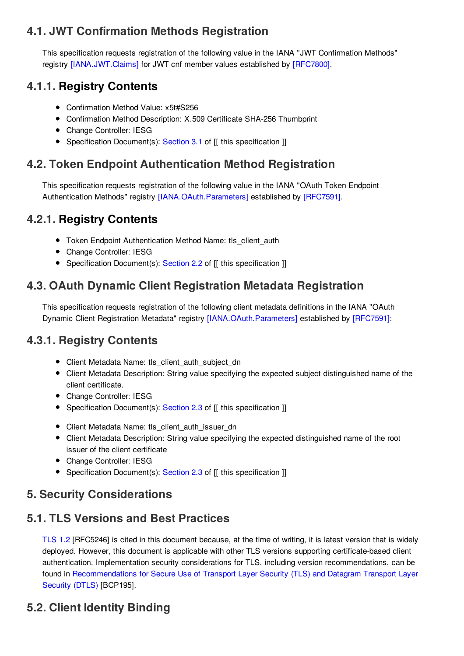## <span id="page-4-10"></span><span id="page-4-0"></span>**[4.1.](#page-4-0) JWT [Confirmation](#page-4-10) Methods Registration**

This specification requests registration of the following value in the IANA "JWT Confirmation Methods" registry [\[IANA.JWT.Claims\]](#page-5-16) for JWT cnf member values established by [\[RFC7800\]](#page-5-13).

## <span id="page-4-1"></span>**[4.1.1.](#page-4-1) Registry Contents**

- Confirmation Method Value: x5t#S256
- Confirmation Method Description: X.509 Certificate SHA-256 Thumbprint
- Change Controller: IESG
- <span id="page-4-11"></span>• Specification Document(s): [Section](#page-3-4) 3.1 of [[ this specification ]]

## <span id="page-4-2"></span>**[4.2.](#page-4-2) Token Endpoint [Authentication](#page-4-11) Method Registration**

This specification requests registration of the following value in the IANA "OAuth Token Endpoint Authentication Methods" registry [\[IANA.OAuth.Parameters\]](#page-5-17) established by [\[RFC7591\]](#page-5-10).

## <span id="page-4-3"></span>**[4.2.1.](#page-4-3) Registry Contents**

- Token Endpoint Authentication Method Name: tls\_client\_auth
- Change Controller: IESG
- <span id="page-4-12"></span>• Specification Document(s): [Section](#page-2-8) 2.2 of [[ this specification ]]

## <span id="page-4-4"></span>**[4.3.](#page-4-4) OAuth Dynamic Client [Registration](#page-4-12) Metadata Registration**

This specification requests registration of the following client metadata definitions in the IANA "OAuth Dynamic Client Registration Metadata" registry [\[IANA.OAuth.Parameters\]](#page-5-17) established by [\[RFC7591\]](#page-5-10):

## <span id="page-4-5"></span>**[4.3.1.](#page-4-5) Registry [Contents](#page-4-13)**

- <span id="page-4-13"></span>Client Metadata Name: tls\_client\_auth\_subject\_dn
- Client Metadata Description: String value specifying the expected subject distinguished name of the client certificate.
- Change Controller: IESG
- Specification Document(s): [Section](#page-2-9) 2.3 of [[ this specification ]]
- Client Metadata Name: tls\_client\_auth\_issuer\_dn
- Client Metadata Description: String value specifying the expected distinguished name of the root issuer of the client certificate
- Change Controller: IESG
- Specification Document(s): [Section](#page-2-9) 2.3 of [[ this specification ]]

## <span id="page-4-14"></span><span id="page-4-6"></span>**[5.](#page-4-6) Security [Considerations](#page-4-14)**

## <span id="page-4-15"></span><span id="page-4-7"></span>**[5.1.](#page-4-7) TLS Versions and Best [Practices](#page-4-15)**

[TLS](#page-5-5) 1.2 [RFC5246] is cited in this document because, at the time of writing, it is latest version that is widely deployed. However, this document is applicable with other TLS versions supporting certificate-based client authentication. Implementation security considerations for TLS, including version recommendations, can be found in [Recommendations](#page-5-18) for Secure Use of Transport Layer Security (TLS) and Datagram Transport Layer Security (DTLS) [BCP195].

## <span id="page-4-9"></span><span id="page-4-8"></span>**[5.2.](#page-4-8) Client Identity [Binding](#page-4-9)**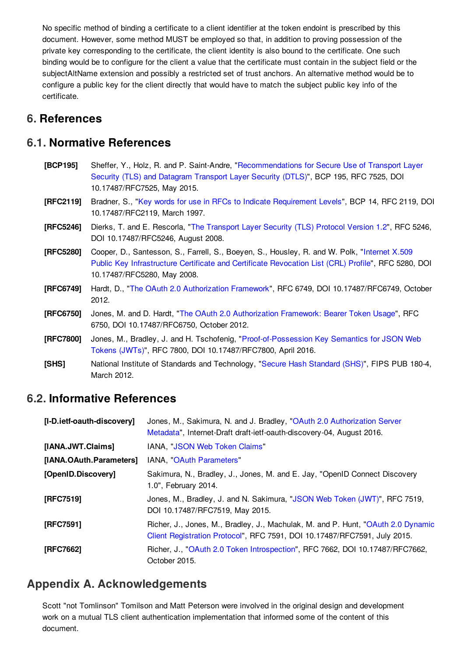No specific method of binding a certificate to a client identifier at the token endoint is prescribed by this document. However, some method MUST be employed so that, in addition to proving possession of the private key corresponding to the certificate, the client identity is also bound to the certificate. One such binding would be to configure for the client a value that the certificate must contain in the subject field or the subjectAltName extension and possibly a restricted set of trust anchors. An alternative method would be to configure a public key for the client directly that would have to match the subject public key info of the certificate.

### <span id="page-5-0"></span>**[6.](#page-5-0) References**

#### <span id="page-5-1"></span>**[6.1.](#page-5-1) Normative References**

<span id="page-5-18"></span><span id="page-5-15"></span><span id="page-5-7"></span><span id="page-5-5"></span>

| [BCP195]  | Sheffer, Y., Holz, R. and P. Saint-Andre, "Recommendations for Secure Use of Transport Layer<br>Security (TLS) and Datagram Transport Layer Security (DTLS)", BCP 195, RFC 7525, DOI<br>10.17487/RFC7525, May 2015.                |
|-----------|------------------------------------------------------------------------------------------------------------------------------------------------------------------------------------------------------------------------------------|
| [RFC2119] | Bradner, S., "Key words for use in RFCs to Indicate Requirement Levels", BCP 14, RFC 2119, DOI<br>10.17487/RFC2119, March 1997.                                                                                                    |
| [RFC5246] | Dierks, T. and E. Rescorla, "The Transport Layer Security (TLS) Protocol Version 1.2", RFC 5246,<br>DOI 10.17487/RFC5246, August 2008.                                                                                             |
| [RFC5280] | Cooper, D., Santesson, S., Farrell, S., Boeyen, S., Housley, R. and W. Polk, "Internet X.509<br>Public Key Infrastructure Certificate and Certificate Revocation List (CRL) Profile", RFC 5280, DOI<br>10.17487/RFC5280, May 2008. |
| [RFC6749] | Hardt, D., "The OAuth 2.0 Authorization Framework", RFC 6749, DOI 10.17487/RFC6749, October<br>2012.                                                                                                                               |
| [RFC6750] | Jones, M. and D. Hardt, "The OAuth 2.0 Authorization Framework: Bearer Token Usage", RFC<br>6750, DOI 10.17487/RFC6750, October 2012.                                                                                              |
| [RFC7800] | Jones, M., Bradley, J. and H. Tschofenig, "Proof-of-Possession Key Semantics for JSON Web<br>Tokens (JWTs)", RFC 7800, DOI 10.17487/RFC7800, April 2016.                                                                           |
| [SHS]     | National Institute of Standards and Technology, "Secure Hash Standard (SHS)", FIPS PUB 180-4,<br>March 2012.                                                                                                                       |

#### <span id="page-5-14"></span><span id="page-5-13"></span><span id="page-5-6"></span><span id="page-5-4"></span><span id="page-5-2"></span>**[6.2.](#page-5-2) Informative References**

<span id="page-5-17"></span><span id="page-5-16"></span><span id="page-5-12"></span><span id="page-5-9"></span><span id="page-5-8"></span>

| [I-D.ietf-oauth-discovery] | Jones, M., Sakimura, N. and J. Bradley, "OAuth 2.0 Authorization Server<br>Metadata", Internet-Draft draft-ietf-oauth-discovery-04, August 2016.              |
|----------------------------|---------------------------------------------------------------------------------------------------------------------------------------------------------------|
| [IANA.JWT.Claims]          | IANA, "JSON Web Token Claims"                                                                                                                                 |
| [IANA.OAuth.Parameters]    | IANA, "OAuth Parameters"                                                                                                                                      |
| [OpenID.Discovery]         | Sakimura, N., Bradley, J., Jones, M. and E. Jay, "OpenID Connect Discovery<br>1.0", February 2014.                                                            |
| [RFC7519]                  | Jones, M., Bradley, J. and N. Sakimura, "JSON Web Token (JWT)", RFC 7519,<br>DOI 10.17487/RFC7519, May 2015.                                                  |
| [RFC7591]                  | Richer, J., Jones, M., Bradley, J., Machulak, M. and P. Hunt, "OAuth 2.0 Dynamic<br>Client Registration Protocol", RFC 7591, DOI 10.17487/RFC7591, July 2015. |
| [RFC7662]                  | Richer, J., "OAuth 2.0 Token Introspection", RFC 7662, DOI 10.17487/RFC7662,<br>October 2015.                                                                 |

### <span id="page-5-11"></span><span id="page-5-10"></span><span id="page-5-3"></span>**[Appendix](#page-5-3) A. [Acknowledgements](#page-5-19)**

<span id="page-5-19"></span>Scott "not Tomlinson" Tomilson and Matt Peterson were involved in the original design and development work on a mutual TLS client authentication implementation that informed some of the content of this document.